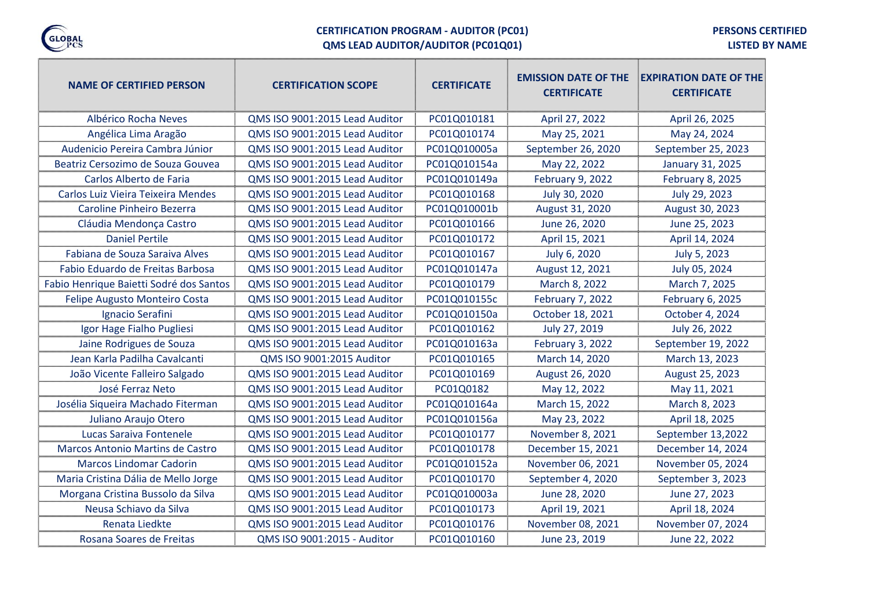

#### **CERTIFICATION PROGRAM - AUDITOR (PC01) QMS LEAD AUDITOR/AUDITOR (PC01Q01)**

**PERSONS CERTIFIED** 

**LISTED BY NAME**

| <b>NAME OF CERTIFIED PERSON</b>         | <b>CERTIFICATION SCOPE</b>     | <b>CERTIFICATE</b> | <b>EMISSION DATE OF THE</b><br><b>CERTIFICATE</b> | <b>EXPIRATION DATE OF THE</b><br><b>CERTIFICATE</b> |
|-----------------------------------------|--------------------------------|--------------------|---------------------------------------------------|-----------------------------------------------------|
| Albérico Rocha Neves                    | QMS ISO 9001:2015 Lead Auditor | PC01Q010181        | April 27, 2022                                    | April 26, 2025                                      |
| Angélica Lima Aragão                    | QMS ISO 9001:2015 Lead Auditor | PC01Q010174        | May 25, 2021                                      | May 24, 2024                                        |
| Audenicio Pereira Cambra Júnior         | QMS ISO 9001:2015 Lead Auditor | PC01Q010005a       | September 26, 2020                                | September 25, 2023                                  |
| Beatriz Cersozimo de Souza Gouvea       | QMS ISO 9001:2015 Lead Auditor | PC01Q010154a       | May 22, 2022                                      | January 31, 2025                                    |
| Carlos Alberto de Faria                 | QMS ISO 9001:2015 Lead Auditor | PC01Q010149a       | <b>February 9, 2022</b>                           | February 8, 2025                                    |
| Carlos Luiz Vieira Teixeira Mendes      | QMS ISO 9001:2015 Lead Auditor | PC01Q010168        | July 30, 2020                                     | July 29, 2023                                       |
| Caroline Pinheiro Bezerra               | QMS ISO 9001:2015 Lead Auditor | PC01Q010001b       | August 31, 2020                                   | August 30, 2023                                     |
| Cláudia Mendonça Castro                 | QMS ISO 9001:2015 Lead Auditor | PC01Q010166        | June 26, 2020                                     | June 25, 2023                                       |
| <b>Daniel Pertile</b>                   | QMS ISO 9001:2015 Lead Auditor | PC01Q010172        | April 15, 2021                                    | April 14, 2024                                      |
| Fabiana de Souza Saraiva Alves          | QMS ISO 9001:2015 Lead Auditor | PC01Q010167        | July 6, 2020                                      | July 5, 2023                                        |
| Fabio Eduardo de Freitas Barbosa        | QMS ISO 9001:2015 Lead Auditor | PC01Q010147a       | August 12, 2021                                   | July 05, 2024                                       |
| Fabio Henrique Baietti Sodré dos Santos | QMS ISO 9001:2015 Lead Auditor | PC01Q010179        | March 8, 2022                                     | March 7, 2025                                       |
| Felipe Augusto Monteiro Costa           | QMS ISO 9001:2015 Lead Auditor | PC01Q010155c       | <b>February 7, 2022</b>                           | February 6, 2025                                    |
| Ignacio Serafini                        | QMS ISO 9001:2015 Lead Auditor | PC01Q010150a       | October 18, 2021                                  | October 4, 2024                                     |
| Igor Hage Fialho Pugliesi               | QMS ISO 9001:2015 Lead Auditor | PC01Q010162        | July 27, 2019                                     | July 26, 2022                                       |
| Jaine Rodrigues de Souza                | QMS ISO 9001:2015 Lead Auditor | PC01Q010163a       | February 3, 2022                                  | September 19, 2022                                  |
| Jean Karla Padilha Cavalcanti           | QMS ISO 9001:2015 Auditor      | PC01Q010165        | March 14, 2020                                    | March 13, 2023                                      |
| João Vicente Falleiro Salgado           | QMS ISO 9001:2015 Lead Auditor | PC01Q010169        | August 26, 2020                                   | August 25, 2023                                     |
| José Ferraz Neto                        | QMS ISO 9001:2015 Lead Auditor | PC01Q0182          | May 12, 2022                                      | May 11, 2021                                        |
| Josélia Siqueira Machado Fiterman       | QMS ISO 9001:2015 Lead Auditor | PC01Q010164a       | March 15, 2022                                    | March 8, 2023                                       |
| Juliano Araujo Otero                    | QMS ISO 9001:2015 Lead Auditor | PC01Q010156a       | May 23, 2022                                      | April 18, 2025                                      |
| Lucas Saraiva Fontenele                 | QMS ISO 9001:2015 Lead Auditor | PC01Q010177        | November 8, 2021                                  | September 13,2022                                   |
| Marcos Antonio Martins de Castro        | QMS ISO 9001:2015 Lead Auditor | PC01Q010178        | December 15, 2021                                 | December 14, 2024                                   |
| <b>Marcos Lindomar Cadorin</b>          | QMS ISO 9001:2015 Lead Auditor | PC01Q010152a       | November 06, 2021                                 | November 05, 2024                                   |
| Maria Cristina Dália de Mello Jorge     | QMS ISO 9001:2015 Lead Auditor | PC01Q010170        | September 4, 2020                                 | September 3, 2023                                   |
| Morgana Cristina Bussolo da Silva       | QMS ISO 9001:2015 Lead Auditor | PC01Q010003a       | June 28, 2020                                     | June 27, 2023                                       |
| Neusa Schiavo da Silva                  | QMS ISO 9001:2015 Lead Auditor | PC01Q010173        | April 19, 2021                                    | April 18, 2024                                      |
| Renata Liedkte                          | QMS ISO 9001:2015 Lead Auditor | PC01Q010176        | November 08, 2021                                 | November 07, 2024                                   |
| Rosana Soares de Freitas                | QMS ISO 9001:2015 - Auditor    | PC01Q010160        | June 23, 2019                                     | June 22, 2022                                       |